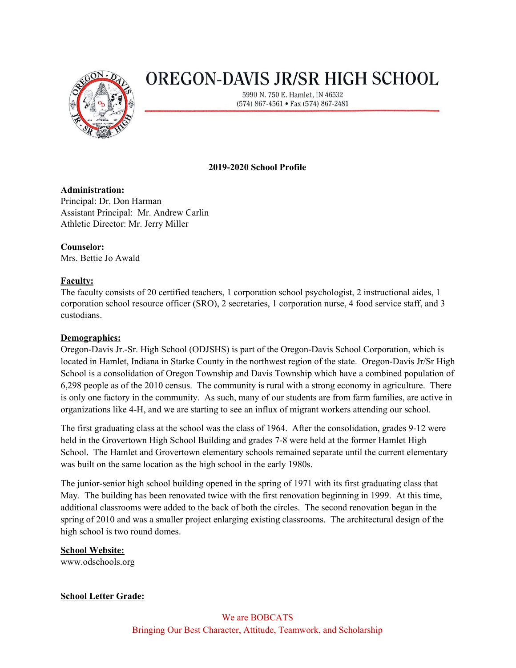

# **OREGON-DAVIS JR/SR HIGH SCHOOL**

5990 N. 750 E. Hamlet, IN 46532 (574) 867-4561 • Fax (574) 867-2481

# **2019-2020 School Profile**

# **Administration:**

Principal: Dr. Don Harman Assistant Principal: Mr. Andrew Carlin Athletic Director: Mr. Jerry Miller

# **Counselor:**

Mrs. Bettie Jo Awald

# **Faculty:**

The faculty consists of 20 certified teachers, 1 corporation school psychologist, 2 instructional aides, 1 corporation school resource officer (SRO), 2 secretaries, 1 corporation nurse, 4 food service staff, and 3 custodians.

# **Demographics:**

Oregon-Davis Jr.-Sr. High School (ODJSHS) is part of the Oregon-Davis School Corporation, which is located in Hamlet, Indiana in Starke County in the northwest region of the state. Oregon-Davis Jr/Sr High School is a consolidation of Oregon Township and Davis Township which have a combined population of 6,298 people as of the 2010 census. The community is rural with a strong economy in agriculture. There is only one factory in the community. As such, many of our students are from farm families, are active in organizations like 4-H, and we are starting to see an influx of migrant workers attending our school.

The first graduating class at the school was the class of 1964. After the consolidation, grades 9-12 were held in the Grovertown High School Building and grades 7-8 were held at the former Hamlet High School. The Hamlet and Grovertown elementary schools remained separate until the current elementary was built on the same location as the high school in the early 1980s.

The junior-senior high school building opened in the spring of 1971 with its first graduating class that May. The building has been renovated twice with the first renovation beginning in 1999. At this time, additional classrooms were added to the back of both the circles. The second renovation began in the spring of 2010 and was a smaller project enlarging existing classrooms. The architectural design of the high school is two round domes.

# **School Website:**

www.odschools.org

# **School Letter Grade:**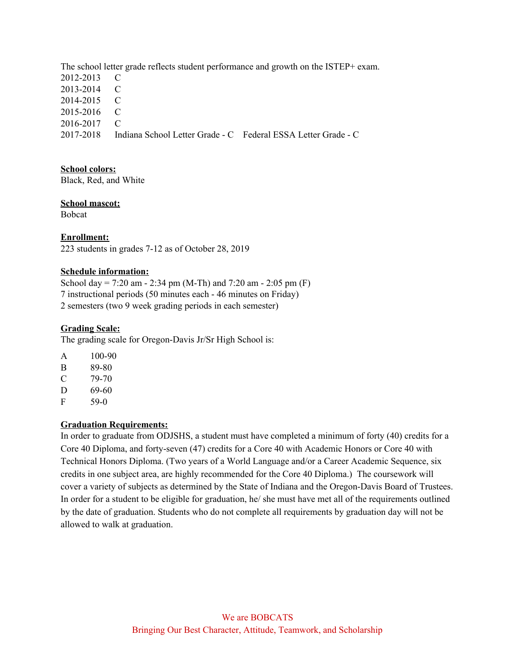The school letter grade reflects student performance and growth on the ISTEP+ exam. 2012-2013 C 2013-2014 C 2014-2015 C 2015-2016 C 2016-2017 C 2017-2018 Indiana School Letter Grade - C Federal ESSA Letter Grade - C

## **School colors:**

Black, Red, and White

#### **School mascot:**

Bobcat

## **Enrollment:**

223 students in grades 7-12 as of October 28, 2019

## **Schedule information:**

School day =  $7:20$  am -  $2:34$  pm (M-Th) and  $7:20$  am -  $2:05$  pm (F) 7 instructional periods (50 minutes each - 46 minutes on Friday) 2 semesters (two 9 week grading periods in each semester)

## **Grading Scale:**

The grading scale for Oregon-Davis Jr/Sr High School is:

A 100-90 B 89-80 C 79-70 D 69-60

F 59-0

# **Graduation Requirements:**

In order to graduate from ODJSHS, a student must have completed a minimum of forty (40) credits for a Core 40 Diploma, and forty-seven (47) credits for a Core 40 with Academic Honors or Core 40 with Technical Honors Diploma. (Two years of a World Language and/or a Career Academic Sequence, six credits in one subject area, are highly recommended for the Core 40 Diploma.) The coursework will cover a variety of subjects as determined by the State of Indiana and the Oregon-Davis Board of Trustees. In order for a student to be eligible for graduation, he/ she must have met all of the requirements outlined by the date of graduation. Students who do not complete all requirements by graduation day will not be allowed to walk at graduation.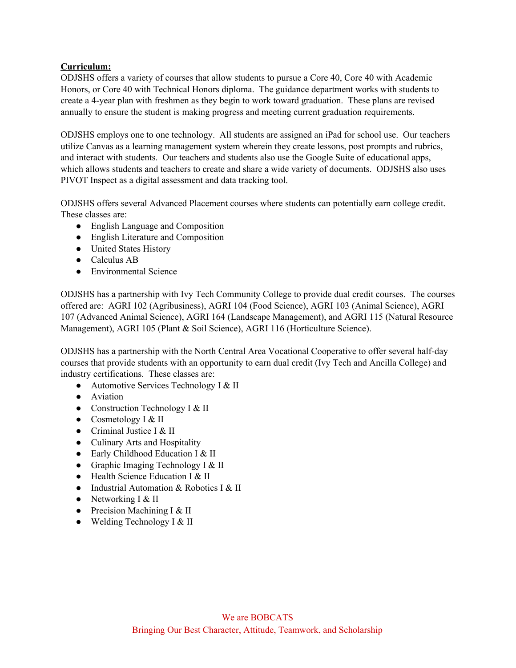## **Curriculum:**

ODJSHS offers a variety of courses that allow students to pursue a Core 40, Core 40 with Academic Honors, or Core 40 with Technical Honors diploma. The guidance department works with students to create a 4-year plan with freshmen as they begin to work toward graduation. These plans are revised annually to ensure the student is making progress and meeting current graduation requirements.

ODJSHS employs one to one technology. All students are assigned an iPad for school use. Our teachers utilize Canvas as a learning management system wherein they create lessons, post prompts and rubrics, and interact with students. Our teachers and students also use the Google Suite of educational apps, which allows students and teachers to create and share a wide variety of documents. ODJSHS also uses PIVOT Inspect as a digital assessment and data tracking tool.

ODJSHS offers several Advanced Placement courses where students can potentially earn college credit. These classes are:

- English Language and Composition
- English Literature and Composition
- United States History
- Calculus AB
- Environmental Science

ODJSHS has a partnership with Ivy Tech Community College to provide dual credit courses. The courses offered are: AGRI 102 (Agribusiness), AGRI 104 (Food Science), AGRI 103 (Animal Science), AGRI 107 (Advanced Animal Science), AGRI 164 (Landscape Management), and AGRI 115 (Natural Resource Management), AGRI 105 (Plant & Soil Science), AGRI 116 (Horticulture Science).

ODJSHS has a partnership with the North Central Area Vocational Cooperative to offer several half-day courses that provide students with an opportunity to earn dual credit (Ivy Tech and Ancilla College) and industry certifications. These classes are:

- Automotive Services Technology I & II
- Aviation
- Construction Technology I & II
- Cosmetology I  $&$  II
- Criminal Justice I & II
- Culinary Arts and Hospitality
- Early Childhood Education I & II
- Graphic Imaging Technology I & II
- Health Science Education I & II
- Industrial Automation & Robotics I & II
- Networking  $I & II$
- Precision Machining I & II
- $\bullet$  Welding Technology I & II